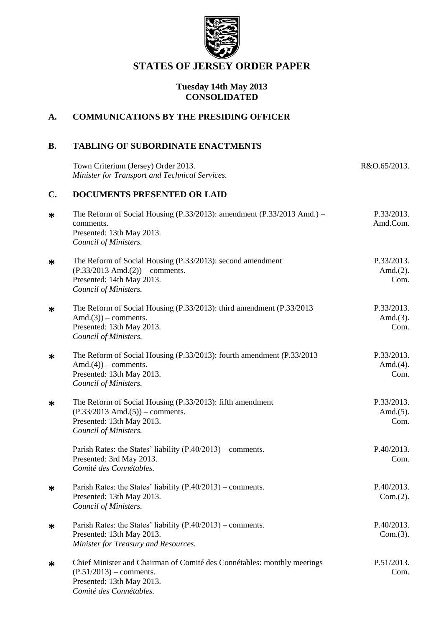

# **STATES OF JERSEY ORDER PAPER**

## **Tuesday 14th May 2013 CONSOLIDATED**

# **A. COMMUNICATIONS BY THE PRESIDING OFFICER**

# **B. TABLING OF SUBORDINATE ENACTMENTS**

|                | Town Criterium (Jersey) Order 2013.<br>Minister for Transport and Technical Services.                                                                        | R&O.65/2013.                       |
|----------------|--------------------------------------------------------------------------------------------------------------------------------------------------------------|------------------------------------|
| $\mathbf{C}$ . | <b>DOCUMENTS PRESENTED OR LAID</b>                                                                                                                           |                                    |
| ∗              | The Reform of Social Housing (P.33/2013): amendment (P.33/2013 Amd.) –<br>comments.<br>Presented: 13th May 2013.<br>Council of Ministers.                    | P.33/2013.<br>Amd.Com.             |
| ∗              | The Reform of Social Housing (P.33/2013): second amendment<br>$(P.33/2013$ Amd. $(2))$ – comments.<br>Presented: 14th May 2013.<br>Council of Ministers.     | P.33/2013.<br>Amd. $(2)$ .<br>Com. |
| ∗              | The Reform of Social Housing (P.33/2013): third amendment (P.33/2013)<br>$Amd.(3))$ – comments.<br>Presented: 13th May 2013.<br>Council of Ministers.        | P.33/2013.<br>Amd. $(3)$ .<br>Com. |
| ∗              | The Reform of Social Housing (P.33/2013): fourth amendment (P.33/2013)<br>$Amd.(4))$ – comments.<br>Presented: 13th May 2013.<br>Council of Ministers.       | P.33/2013.<br>Amd. $(4)$ .<br>Com. |
| ∗              | The Reform of Social Housing (P.33/2013): fifth amendment<br>$(P.33/2013$ Amd. $(5))$ – comments.<br>Presented: 13th May 2013.<br>Council of Ministers.      | P.33/2013.<br>Amd. $(5)$ .<br>Com. |
|                | Parish Rates: the States' liability $(P.40/2013)$ – comments.<br>Presented: 3rd May 2013.<br>Comité des Connétables.                                         | P.40/2013.<br>Com.                 |
| ∗              | Parish Rates: the States' liability $(P.40/2013)$ – comments.<br>Presented: 13th May 2013.<br>Council of Ministers.                                          | P.40/2013.<br>Com.(2).             |
| ∗              | Parish Rates: the States' liability $(P.40/2013)$ – comments.<br>Presented: 13th May 2013.<br>Minister for Treasury and Resources.                           | P.40/2013.<br>$Com.(3)$ .          |
| ∗              | Chief Minister and Chairman of Comité des Connétables: monthly meetings<br>$(P.51/2013)$ – comments.<br>Presented: 13th May 2013.<br>Comité des Connétables. | P.51/2013.<br>Com.                 |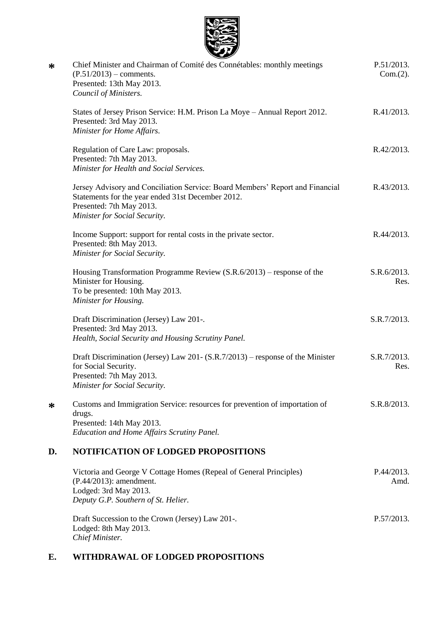

| ∗  | Chief Minister and Chairman of Comité des Connétables: monthly meetings<br>$(P.51/2013)$ – comments.                                                                                            | P.51/2013.<br>Com.(2). |
|----|-------------------------------------------------------------------------------------------------------------------------------------------------------------------------------------------------|------------------------|
|    | Presented: 13th May 2013.<br>Council of Ministers.                                                                                                                                              |                        |
|    | States of Jersey Prison Service: H.M. Prison La Moye - Annual Report 2012.<br>Presented: 3rd May 2013.<br>Minister for Home Affairs.                                                            | R.41/2013.             |
|    | Regulation of Care Law: proposals.<br>Presented: 7th May 2013.<br>Minister for Health and Social Services.                                                                                      | R.42/2013.             |
|    | Jersey Advisory and Conciliation Service: Board Members' Report and Financial<br>Statements for the year ended 31st December 2012.<br>Presented: 7th May 2013.<br>Minister for Social Security. | R.43/2013.             |
|    | Income Support: support for rental costs in the private sector.<br>Presented: 8th May 2013.<br>Minister for Social Security.                                                                    | R.44/2013.             |
|    | Housing Transformation Programme Review $(S.R. 6/2013)$ – response of the<br>Minister for Housing.<br>To be presented: 10th May 2013.<br>Minister for Housing.                                  | S.R.6/2013.<br>Res.    |
|    | Draft Discrimination (Jersey) Law 201-.<br>Presented: 3rd May 2013.<br>Health, Social Security and Housing Scrutiny Panel.                                                                      | S.R.7/2013.            |
|    | Draft Discrimination (Jersey) Law 201- $(S.R.7/2013)$ – response of the Minister<br>for Social Security.<br>Presented: 7th May 2013.<br><b>Minister for Social Security.</b>                    | S.R.7/2013.<br>Res.    |
| ∗  | Customs and Immigration Service: resources for prevention of importation of<br>drugs.<br>Presented: 14th May 2013.<br><b>Education and Home Affairs Scrutiny Panel.</b>                         | S.R.8/2013.            |
| D. | <b>NOTIFICATION OF LODGED PROPOSITIONS</b>                                                                                                                                                      |                        |
|    | Victoria and George V Cottage Homes (Repeal of General Principles)<br>(P.44/2013): amendment.<br>Lodged: 3rd May 2013.<br>Deputy G.P. Southern of St. Helier.                                   | P.44/2013.<br>Amd.     |
|    | Draft Succession to the Crown (Jersey) Law 201-.<br>Lodged: 8th May 2013.<br>Chief Minister.                                                                                                    | P.57/2013.             |

## **E. WITHDRAWAL OF LODGED PROPOSITIONS**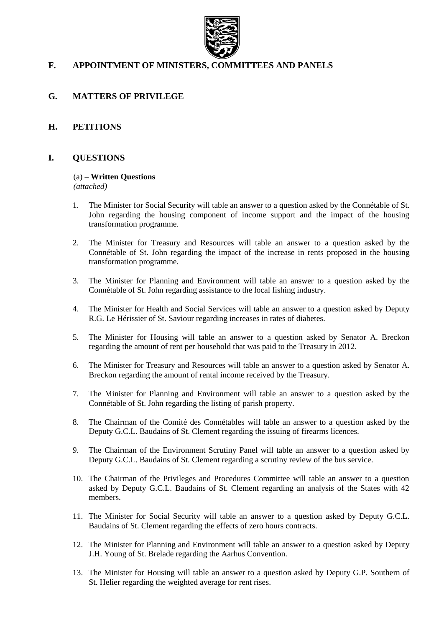

## **F. APPOINTMENT OF MINISTERS, COMMITTEES AND PANELS**

## **G. MATTERS OF PRIVILEGE**

## **H. PETITIONS**

## **I. QUESTIONS**

### (a) – **Written Questions**

*(attached)*

- 1. The Minister for Social Security will table an answer to a question asked by the Connétable of St. John regarding the housing component of income support and the impact of the housing transformation programme.
- 2. The Minister for Treasury and Resources will table an answer to a question asked by the Connétable of St. John regarding the impact of the increase in rents proposed in the housing transformation programme.
- 3. The Minister for Planning and Environment will table an answer to a question asked by the Connétable of St. John regarding assistance to the local fishing industry.
- 4. The Minister for Health and Social Services will table an answer to a question asked by Deputy R.G. Le Hérissier of St. Saviour regarding increases in rates of diabetes.
- 5. The Minister for Housing will table an answer to a question asked by Senator A. Breckon regarding the amount of rent per household that was paid to the Treasury in 2012.
- 6. The Minister for Treasury and Resources will table an answer to a question asked by Senator A. Breckon regarding the amount of rental income received by the Treasury.
- 7. The Minister for Planning and Environment will table an answer to a question asked by the Connétable of St. John regarding the listing of parish property.
- 8. The Chairman of the Comité des Connétables will table an answer to a question asked by the Deputy G.C.L. Baudains of St. Clement regarding the issuing of firearms licences.
- 9. The Chairman of the Environment Scrutiny Panel will table an answer to a question asked by Deputy G.C.L. Baudains of St. Clement regarding a scrutiny review of the bus service.
- 10. The Chairman of the Privileges and Procedures Committee will table an answer to a question asked by Deputy G.C.L. Baudains of St. Clement regarding an analysis of the States with 42 members.
- 11. The Minister for Social Security will table an answer to a question asked by Deputy G.C.L. Baudains of St. Clement regarding the effects of zero hours contracts.
- 12. The Minister for Planning and Environment will table an answer to a question asked by Deputy J.H. Young of St. Brelade regarding the Aarhus Convention.
- 13. The Minister for Housing will table an answer to a question asked by Deputy G.P. Southern of St. Helier regarding the weighted average for rent rises.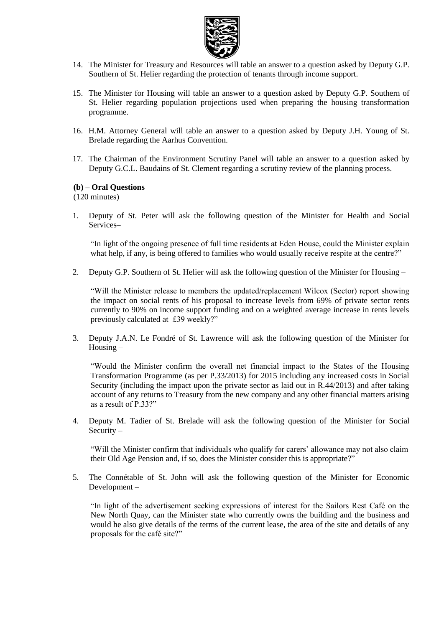

- 14. The Minister for Treasury and Resources will table an answer to a question asked by Deputy G.P. Southern of St. Helier regarding the protection of tenants through income support.
- 15. The Minister for Housing will table an answer to a question asked by Deputy G.P. Southern of St. Helier regarding population projections used when preparing the housing transformation programme.
- 16. H.M. Attorney General will table an answer to a question asked by Deputy J.H. Young of St. Brelade regarding the Aarhus Convention.
- 17. The Chairman of the Environment Scrutiny Panel will table an answer to a question asked by Deputy G.C.L. Baudains of St. Clement regarding a scrutiny review of the planning process.

#### **(b) – Oral Questions**

(120 minutes)

1. Deputy of St. Peter will ask the following question of the Minister for Health and Social Services–

"In light of the ongoing presence of full time residents at Eden House, could the Minister explain what help, if any, is being offered to families who would usually receive respite at the centre?"

2. Deputy G.P. Southern of St. Helier will ask the following question of the Minister for Housing –

"Will the Minister release to members the updated/replacement Wilcox (Sector) report showing the impact on social rents of his proposal to increase levels from 69% of private sector rents currently to 90% on income support funding and on a weighted average increase in rents levels previously calculated at £39 weekly?"

3. Deputy J.A.N. Le Fondré of St. Lawrence will ask the following question of the Minister for Housing –

"Would the Minister confirm the overall net financial impact to the States of the Housing Transformation Programme (as per P.33/2013) for 2015 including any increased costs in Social Security (including the impact upon the private sector as laid out in R.44/2013) and after taking account of any returns to Treasury from the new company and any other financial matters arising as a result of P.33?"

4. Deputy M. Tadier of St. Brelade will ask the following question of the Minister for Social Security –

"Will the Minister confirm that individuals who qualify for carers' allowance may not also claim their Old Age Pension and, if so, does the Minister consider this is appropriate?"

5. The Connétable of St. John will ask the following question of the Minister for Economic Development –

"In light of the advertisement seeking expressions of interest for the Sailors Rest Café on the New North Quay, can the Minister state who currently owns the building and the business and would he also give details of the terms of the current lease, the area of the site and details of any proposals for the café site?"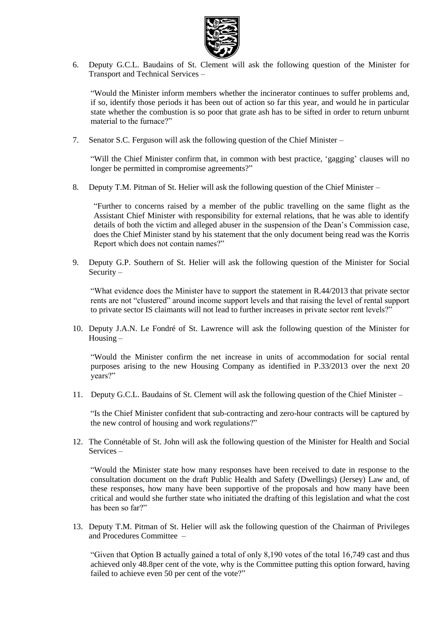

6. Deputy G.C.L. Baudains of St. Clement will ask the following question of the Minister for Transport and Technical Services –

"Would the Minister inform members whether the incinerator continues to suffer problems and, if so, identify those periods it has been out of action so far this year, and would he in particular state whether the combustion is so poor that grate ash has to be sifted in order to return unburnt material to the furnace?"

7. Senator S.C. Ferguson will ask the following question of the Chief Minister –

"Will the Chief Minister confirm that, in common with best practice, 'gagging' clauses will no longer be permitted in compromise agreements?"

8. Deputy T.M. Pitman of St. Helier will ask the following question of the Chief Minister –

"Further to concerns raised by a member of the public travelling on the same flight as the Assistant Chief Minister with responsibility for external relations, that he was able to identify details of both the victim and alleged abuser in the suspension of the Dean's Commission case, does the Chief Minister stand by his statement that the only document being read was the Korris Report which does not contain names?"

9. Deputy G.P. Southern of St. Helier will ask the following question of the Minister for Social Security –

"What evidence does the Minister have to support the statement in R.44/2013 that private sector rents are not "clustered" around income support levels and that raising the level of rental support to private sector IS claimants will not lead to further increases in private sector rent levels?"

10. Deputy J.A.N. Le Fondré of St. Lawrence will ask the following question of the Minister for  $H \overline{\text{ousing}}$  –

"Would the Minister confirm the net increase in units of accommodation for social rental purposes arising to the new Housing Company as identified in P.33/2013 over the next 20 years?"

11. Deputy G.C.L. Baudains of St. Clement will ask the following question of the Chief Minister –

"Is the Chief Minister confident that sub-contracting and zero-hour contracts will be captured by the new control of housing and work regulations?"

12. The Connétable of St. John will ask the following question of the Minister for Health and Social Services –

"Would the Minister state how many responses have been received to date in response to the consultation document on the draft Public Health and Safety (Dwellings) (Jersey) Law and, of these responses, how many have been supportive of the proposals and how many have been critical and would she further state who initiated the drafting of this legislation and what the cost has been so far?"

13. Deputy T.M. Pitman of St. Helier will ask the following question of the Chairman of Privileges and Procedures Committee –

"Given that Option B actually gained a total of only 8,190 votes of the total 16,749 cast and thus achieved only 48.8per cent of the vote, why is the Committee putting this option forward, having failed to achieve even 50 per cent of the vote?"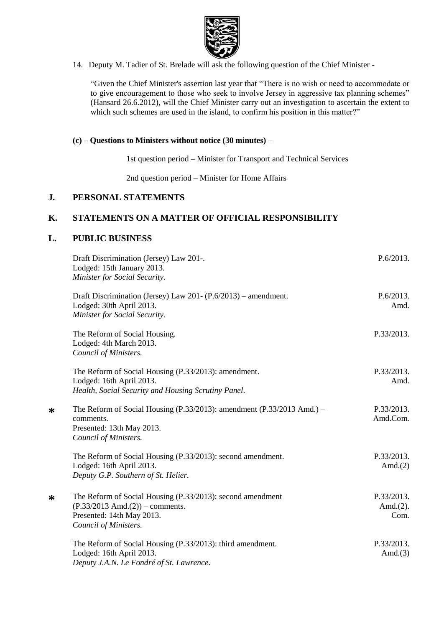

14. Deputy M. Tadier of St. Brelade will ask the following question of the Chief Minister -

"Given the Chief Minister's assertion last year that "There is no wish or need to accommodate or to give encouragement to those who seek to involve Jersey in aggressive tax planning schemes" (Hansard 26.6.2012), will the Chief Minister carry out an investigation to ascertain the extent to which such schemes are used in the island, to confirm his position in this matter?"

### **(c) – Questions to Ministers without notice (30 minutes) –**

1st question period – Minister for Transport and Technical Services

2nd question period – Minister for Home Affairs

## **J. PERSONAL STATEMENTS**

## **K. STATEMENTS ON A MATTER OF OFFICIAL RESPONSIBILITY**

### **L. PUBLIC BUSINESS**

**\***

**\***

| Draft Discrimination (Jersey) Law 201-.<br>Lodged: 15th January 2013.<br>Minister for Social Security.                                                   | P.6/2013.                          |
|----------------------------------------------------------------------------------------------------------------------------------------------------------|------------------------------------|
| Draft Discrimination (Jersey) Law 201- $(P.6/2013)$ – amendment.<br>Lodged: 30th April 2013.<br>Minister for Social Security.                            | P.6/2013.<br>Amd.                  |
| The Reform of Social Housing.<br>Lodged: 4th March 2013.<br>Council of Ministers.                                                                        | P.33/2013.                         |
| The Reform of Social Housing (P.33/2013): amendment.<br>Lodged: 16th April 2013.<br>Health, Social Security and Housing Scrutiny Panel.                  | P.33/2013.<br>Amd.                 |
| The Reform of Social Housing (P.33/2013): amendment (P.33/2013 Amd.) –<br>comments.<br>Presented: 13th May 2013.<br>Council of Ministers.                | P.33/2013.<br>Amd.Com.             |
| The Reform of Social Housing (P.33/2013): second amendment.<br>Lodged: 16th April 2013.<br>Deputy G.P. Southern of St. Helier.                           | P.33/2013.<br>Amd. $(2)$           |
| The Reform of Social Housing (P.33/2013): second amendment<br>$(P.33/2013$ Amd. $(2))$ – comments.<br>Presented: 14th May 2013.<br>Council of Ministers. | P.33/2013.<br>Amd. $(2)$ .<br>Com. |
| The Reform of Social Housing (P.33/2013): third amendment.<br>Lodged: 16th April 2013.<br>Deputy J.A.N. Le Fondré of St. Lawrence.                       | P.33/2013.<br>Amd. $(3)$           |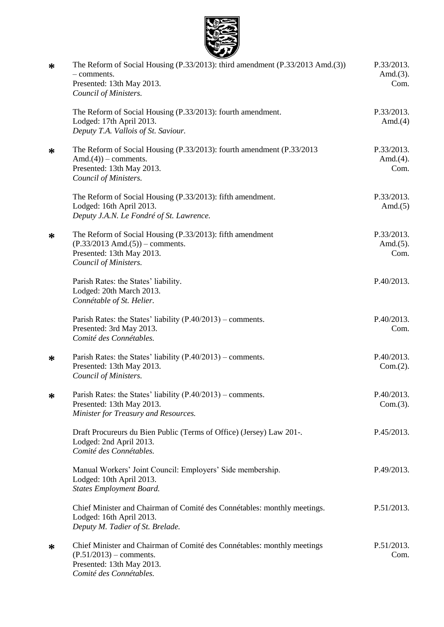

| $\ast$ | $\sim$ $\sim$<br>The Reform of Social Housing $(P.33/2013)$ : third amendment $(P.33/2013$ Amd. $(3)$ )<br>- comments.<br>Presented: 13th May 2013.<br>Council of Ministers. | P.33/2013.<br>Amd. $(3)$ .<br>Com. |
|--------|------------------------------------------------------------------------------------------------------------------------------------------------------------------------------|------------------------------------|
|        | The Reform of Social Housing (P.33/2013): fourth amendment.<br>Lodged: 17th April 2013.<br>Deputy T.A. Vallois of St. Saviour.                                               | P.33/2013.<br>Amd. $(4)$           |
| ∗      | The Reform of Social Housing (P.33/2013): fourth amendment (P.33/2013)<br>$Amd.(4))$ – comments.<br>Presented: 13th May 2013.<br>Council of Ministers.                       | P.33/2013.<br>Amd. $(4)$ .<br>Com. |
|        | The Reform of Social Housing (P.33/2013): fifth amendment.<br>Lodged: 16th April 2013.<br>Deputy J.A.N. Le Fondré of St. Lawrence.                                           | P.33/2013.<br>Amd. $(5)$           |
| ∗      | The Reform of Social Housing (P.33/2013): fifth amendment<br>$(P.33/2013$ Amd. $(5))$ – comments.<br>Presented: 13th May 2013.<br>Council of Ministers.                      | P.33/2013.<br>Amd. $(5)$ .<br>Com. |
|        | Parish Rates: the States' liability.<br>Lodged: 20th March 2013.<br>Connétable of St. Helier.                                                                                | P.40/2013.                         |
|        | Parish Rates: the States' liability $(P.40/2013)$ – comments.<br>Presented: 3rd May 2013.<br>Comité des Connétables.                                                         | P.40/2013.<br>Com.                 |
| ∗      | Parish Rates: the States' liability $(P.40/2013)$ – comments.<br>Presented: 13th May 2013.<br>Council of Ministers.                                                          | P.40/2013.<br>Com.(2).             |
| ∗      | Parish Rates: the States' liability $(P.40/2013)$ – comments.<br>Presented: 13th May 2013.<br>Minister for Treasury and Resources.                                           | P.40/2013.<br>Com.(3).             |
|        | Draft Procureurs du Bien Public (Terms of Office) (Jersey) Law 201-.<br>Lodged: 2nd April 2013.<br>Comité des Connétables.                                                   | P.45/2013.                         |
|        | Manual Workers' Joint Council: Employers' Side membership.<br>Lodged: 10th April 2013.<br><b>States Employment Board.</b>                                                    | P.49/2013.                         |
|        | Chief Minister and Chairman of Comité des Connétables: monthly meetings.<br>Lodged: 16th April 2013.<br>Deputy M. Tadier of St. Brelade.                                     | P.51/2013.                         |
| ∗      | Chief Minister and Chairman of Comité des Connétables: monthly meetings<br>$(P.51/2013)$ – comments.<br>Presented: 13th May 2013.<br>Comité des Connétables.                 | P.51/2013.<br>Com.                 |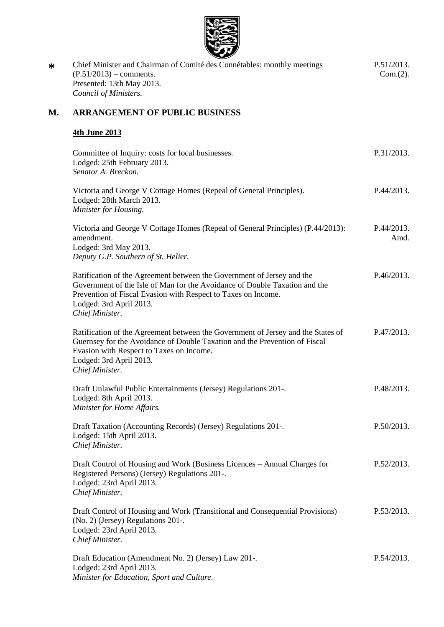

| ∗         | Chief Minister and Chairman of Comité des Connétables: monthly meetings<br>$(P.51/2013)$ – comments.<br>Presented: 13th May 2013.<br>Council of Ministers.                                                                                                          | P.51/2013.<br>Com.(2). |
|-----------|---------------------------------------------------------------------------------------------------------------------------------------------------------------------------------------------------------------------------------------------------------------------|------------------------|
| <b>M.</b> | <b>ARRANGEMENT OF PUBLIC BUSINESS</b>                                                                                                                                                                                                                               |                        |
|           | 4th June 2013                                                                                                                                                                                                                                                       |                        |
|           | Committee of Inquiry: costs for local businesses.<br>Lodged: 25th February 2013.<br>Senator A. Breckon.                                                                                                                                                             | P.31/2013.             |
|           | Victoria and George V Cottage Homes (Repeal of General Principles).<br>Lodged: 28th March 2013.<br>Minister for Housing.                                                                                                                                            | P.44/2013.             |
|           | Victoria and George V Cottage Homes (Repeal of General Principles) (P.44/2013):<br>amendment.<br>Lodged: 3rd May 2013.<br>Deputy G.P. Southern of St. Helier.                                                                                                       | P.44/2013.<br>Amd.     |
|           | Ratification of the Agreement between the Government of Jersey and the<br>Government of the Isle of Man for the Avoidance of Double Taxation and the<br>Prevention of Fiscal Evasion with Respect to Taxes on Income.<br>Lodged: 3rd April 2013.<br>Chief Minister. | P.46/2013.             |
|           | Ratification of the Agreement between the Government of Jersey and the States of<br>Guernsey for the Avoidance of Double Taxation and the Prevention of Fiscal<br>Evasion with Respect to Taxes on Income.<br>Lodged: 3rd April 2013.<br>Chief Minister.            | P.47/2013.             |
|           | Draft Unlawful Public Entertainments (Jersey) Regulations 201-.<br>Lodged: 8th April 2013.<br>Minister for Home Affairs.                                                                                                                                            | P.48/2013.             |
|           | Draft Taxation (Accounting Records) (Jersey) Regulations 201-.<br>Lodged: 15th April 2013.<br>Chief Minister.                                                                                                                                                       | P.50/2013.             |
|           | Draft Control of Housing and Work (Business Licences – Annual Charges for<br>Registered Persons) (Jersey) Regulations 201-.<br>Lodged: 23rd April 2013.<br>Chief Minister.                                                                                          | P.52/2013.             |
|           | Draft Control of Housing and Work (Transitional and Consequential Provisions)<br>(No. 2) (Jersey) Regulations 201-.<br>Lodged: 23rd April 2013.<br>Chief Minister.                                                                                                  | P.53/2013.             |
|           | Draft Education (Amendment No. 2) (Jersey) Law 201-.<br>Lodged: 23rd April 2013.<br>Minister for Education, Sport and Culture.                                                                                                                                      | P.54/2013.             |